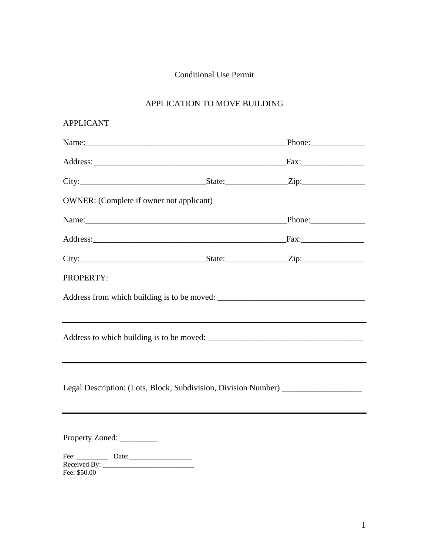## Conditional Use Permit

## APPLICATION TO MOVE BUILDING

| <b>APPLICANT</b>                                |                                                                                                                                                                                                                               |
|-------------------------------------------------|-------------------------------------------------------------------------------------------------------------------------------------------------------------------------------------------------------------------------------|
|                                                 | Name: Phone: Phone:                                                                                                                                                                                                           |
|                                                 |                                                                                                                                                                                                                               |
|                                                 | $City:$ $City:$ $Zip:$ $I$                                                                                                                                                                                                    |
| <b>OWNER:</b> (Complete if owner not applicant) |                                                                                                                                                                                                                               |
|                                                 | Name: Phone: Phone:                                                                                                                                                                                                           |
|                                                 | Address: Fax: Fax:                                                                                                                                                                                                            |
|                                                 | City: City: City: City: City: City: City: City: City: City: City: City: City: City: City: City: City: City: City: City: City: City: City: City: City: City: City: City: City: City: City: City: City: City: City: City: City: |
| PROPERTY:                                       |                                                                                                                                                                                                                               |
|                                                 |                                                                                                                                                                                                                               |
|                                                 |                                                                                                                                                                                                                               |
|                                                 | Legal Description: (Lots, Block, Subdivision, Division Number) _________________                                                                                                                                              |
| Property Zoned:                                 |                                                                                                                                                                                                                               |
| Fee: \$50.00                                    |                                                                                                                                                                                                                               |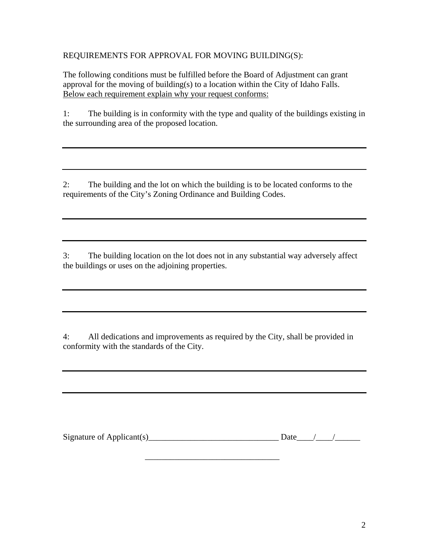REQUIREMENTS FOR APPROVAL FOR MOVING BUILDING(S):

The following conditions must be fulfilled before the Board of Adjustment can grant approval for the moving of building(s) to a location within the City of Idaho Falls. Below each requirement explain why your request conforms:

1: The building is in conformity with the type and quality of the buildings existing in the surrounding area of the proposed location.

2: The building and the lot on which the building is to be located conforms to the requirements of the City's Zoning Ordinance and Building Codes.

3: The building location on the lot does not in any substantial way adversely affect the buildings or uses on the adjoining properties.

4: All dedications and improvements as required by the City, shall be provided in conformity with the standards of the City.

| Signature of Applicant(s) |  |  |  |
|---------------------------|--|--|--|
|---------------------------|--|--|--|

 $\frac{1}{2}$  ,  $\frac{1}{2}$  ,  $\frac{1}{2}$  ,  $\frac{1}{2}$  ,  $\frac{1}{2}$  ,  $\frac{1}{2}$  ,  $\frac{1}{2}$  ,  $\frac{1}{2}$  ,  $\frac{1}{2}$  ,  $\frac{1}{2}$  ,  $\frac{1}{2}$  ,  $\frac{1}{2}$  ,  $\frac{1}{2}$  ,  $\frac{1}{2}$  ,  $\frac{1}{2}$  ,  $\frac{1}{2}$  ,  $\frac{1}{2}$  ,  $\frac{1}{2}$  ,  $\frac{1$